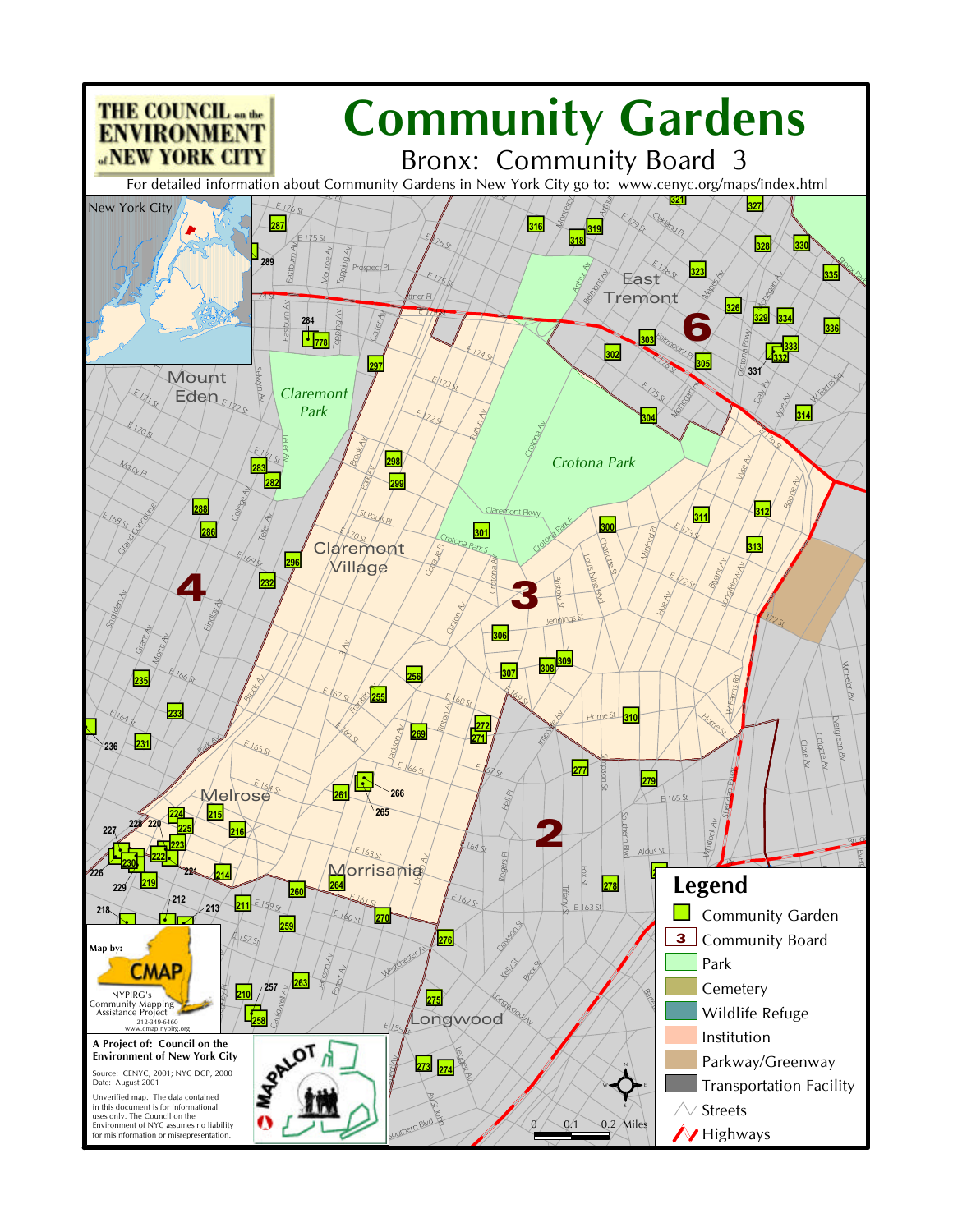